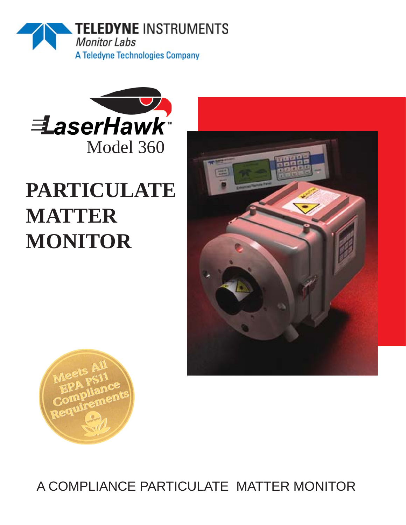



# **PARTICULATE MATTER MONITOR**





A COMPLIANCE PARTICULATE MATTER MONITOR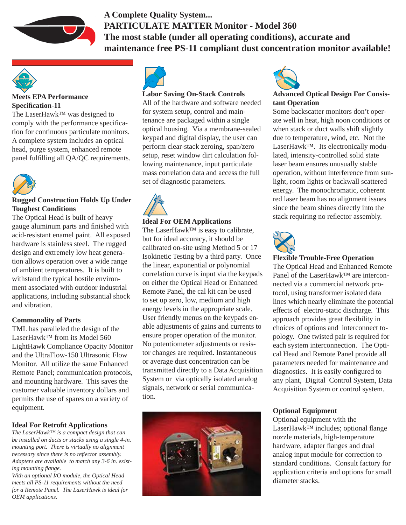

### **A Complete Quality System... PARTICULATE MATTER Monitor - Model 360 The most stable (under all operating conditions), accurate and maintenance free PS-11 compliant dust concentration monitor available!**



#### **Meets EPA Performance Specifi cation-11**

The LaserHawk™ was designed to comply with the performance specification for continuous particulate monitors. A complete system includes an optical head, purge system, enhanced remote panel fulfilling all QA/QC requirements.



#### **Rugged Construction Holds Up Under Toughest Conditions**

The Optical Head is built of heavy gauge aluminum parts and finished with acid-resistant enamel paint. All exposed hardware is stainless steel. The rugged design and extremely low heat generation allows operation over a wide range of ambient temperatures. It is built to withstand the typical hostile environment associated with outdoor industrial applications, including substantial shock and vibration.

#### **Commonality of Parts**

TML has paralleled the design of the LaserHawk™ from its Model 560 LightHawk Compliance Opacity Monitor and the UltraFlow-150 Ultrasonic Flow Monitor. All utilize the same Enhanced Remote Panel; communication protocols, and mounting hardware. This saves the customer valuable inventory dollars and permits the use of spares on a variety of equipment.

#### **Ideal For Retrofit Applications**

*The LaserHawk™ is a compact design that can be installed on ducts or stacks using a single 4-in. mounting port. There is virtually no alignment necessary since there is no reflector assembly. Adapters are available to match any 3-6 in. existing mounting fl ange.*

*With an optional I/O module, the Optical Head meets all PS-11 requirements without the need for a Remote Panel. The LaserHawk is ideal for OEM applications.*



#### **Labor Saving On-Stack Controls**

All of the hardware and software needed for system setup, control and maintenance are packaged within a single optical housing. Via a membrane-sealed keypad and digital display, the user can perform clear-stack zeroing, span/zero setup, reset window dirt calculation following maintenance, input particulate mass correlation data and access the full set of diagnostic parameters.



#### **Ideal For OEM Applications**

The LaserHawk™ is easy to calibrate, but for ideal accuracy, it should be calibrated on-site using Method 5 or 17 Isokinetic Testing by a third party. Once the linear, exponential or polynomial correlation curve is input via the keypads on either the Optical Head or Enhanced Remote Panel, the cal kit can be used to set up zero, low, medium and high energy levels in the appropriate scale. User friendly menus on the keypads enable adjustments of gains and currents to ensure proper operation of the monitor. No potentiometer adjustments or resistor changes are required. Instantaneous or average dust concentration can be transmitted directly to a Data Acquisition System or via optically isolated analog signals, network or serial communication.





#### **Advanced Optical Design For Consistant Operation**

Some backscatter monitors don't operate well in heat, high noon conditions or when stack or duct walls shift slightly due to temperature, wind, etc. Not the LaserHawk™. Its electronically modulated, intensity-controlled solid state laser beam ensures unusually stable operation, without interference from sunlight, room lights or backwall scattered energy. The monochromatic, coherent red laser beam has no alignment issues since the beam shines directly into the stack requiring no reflector assembly.



#### **Flexible Trouble-Free Operation**

The Optical Head and Enhanced Remote Panel of the LaserHawk™ are interconnected via a commercial network protocol, using transformer isolated data lines which nearly eliminate the potential effects of electro-static discharge. This approach provides great flexibility in choices of options and interconnect topology. One twisted pair is required for each system interconnection. The Optical Head and Remote Panel provide all parameters needed for maintenance and diagnostics. It is easily configured to any plant, Digital Control System, Data Acquisition System or control system.

#### **Optional Equipment**

Optional equipment with the LaserHawk™ includes; optional flange nozzle materials, high-temperature hardware, adapter flanges and dual analog input module for correction to standard conditions. Consult factory for application criteria and options for small diameter stacks.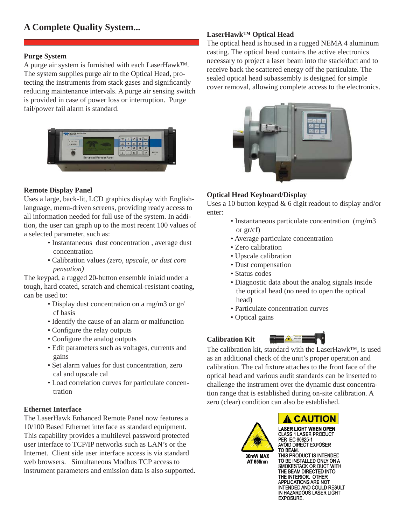# **A Complete Quality System... LaserHawk™ Optical Head**

#### **Purge System**

A purge air system is furnished with each LaserHawk™. The system supplies purge air to the Optical Head, protecting the instruments from stack gases and significantly reducing maintenance intervals. A purge air sensing switch is provided in case of power loss or interruption. Purge fail/power fail alarm is standard.



#### **Remote Display Panel**

Uses a large, back-lit, LCD graphics display with Englishlanguage, menu-driven screens, providing ready access to all information needed for full use of the system. In addition, the user can graph up to the most recent 100 values of a selected parameter, such as:

- Instantaneous dust concentration , average dust concentration
- Calibration values *(zero, upscale, or dust com pensation)*

The keypad, a rugged 20-button ensemble inlaid under a tough, hard coated, scratch and chemical-resistant coating, can be used to:

- Display dust concentration on a mg/m3 or gr/ cf basis
- Identify the cause of an alarm or malfunction
- Configure the relay outputs
- Configure the analog outputs
- Edit parameters such as voltages, currents and gains
- Set alarm values for dust concentration, zero cal and upscale cal
- Load correlation curves for particulate concen tration

#### **Ethernet Interface**

The LaserHawk Enhanced Remote Panel now features a 10/100 Based Ethernet interface as standard equipment. This capability provides a multilevel password protected user interface to TCP/IP networks such as LAN's or the Internet. Client side user interface access is via standard web browsers. Simultaneous Modbus TCP access to instrument parameters and emission data is also supported.

The optical head is housed in a rugged NEMA 4 aluminum casting. The optical head contains the active electronics necessary to project a laser beam into the stack/duct and to receive back the scattered energy off the particulate. The sealed optical head subassembly is designed for simple cover removal, allowing complete access to the electronics.



#### **Optical Head Keyboard/Display**

Uses a 10 button keypad & 6 digit readout to display and/or enter:

- Instantaneous particulate concentration (mg/m3 or gr/cf)
- Average particulate concentration
- Zero calibration
- Upscale calibration
- Dust compensation
- Status codes
- Diagnostic data about the analog signals inside the optical head (no need to open the optical head)
- Particulate concentration curves
- Optical gains

#### **Calibration Kit**



The calibration kit, standard with the LaserHawk™, is used as an additional check of the unit's proper operation and calibration. The cal fixture attaches to the front face of the optical head and various audit standards can be inserted to challenge the instrument over the dynamic dust concentration range that is established during on-site calibration. A zero (clear) condition can also be established.



**LASER LIGHT WHEN OPEN CLASS 1 LASER PRODUCT** PER IEC 60825-1 **AVOID DIRECT EXPOSER** TO BEAM. THIS PRODUCT IS INTENDED TO BE INSTALLED ONLY ON A **SMOKESTACK OR DUCT WITH<br>THE BEAM DIRECTED INTO<br>THE INTERIOR. OTHER<br>APPLICATIONS ARE NOT<br>TENGETONS ARE NOT** INTENDED AND COULD RESULT IN HAZARDOUS LASER LIGHT EXPOSURE.

A CAUTION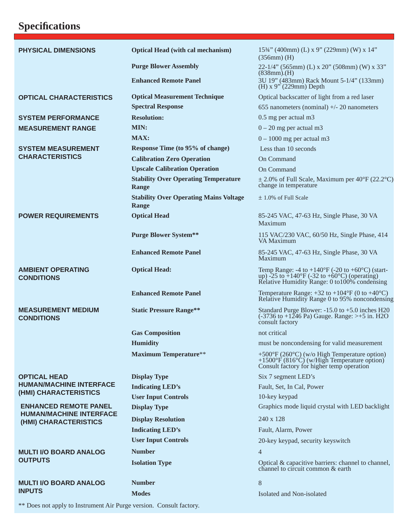## **Specifi cations**

| <b>PHYSICAL DIMENSIONS</b>                                                              | <b>Optical Head (with cal mechanism)</b>               | 153/4" (400mm) (L) x 9" (229mm) (W) x 14"<br>$(356mm)$ (H)                                                                                                                            |
|-----------------------------------------------------------------------------------------|--------------------------------------------------------|---------------------------------------------------------------------------------------------------------------------------------------------------------------------------------------|
|                                                                                         | <b>Purge Blower Assembly</b>                           | 22-1/4" (565mm) (L) x 20" (508mm) (W) x 33"<br>$(838mm)$ . (H)                                                                                                                        |
|                                                                                         | <b>Enhanced Remote Panel</b>                           | 3U 19" (483mm) Rack Mount 5-1/4" (133mm)<br>$(H)$ x 9" (229mm) Depth                                                                                                                  |
| <b>OPTICAL CHARACTERISTICS</b>                                                          | <b>Optical Measurement Technique</b>                   | Optical backscatter of light from a red laser                                                                                                                                         |
|                                                                                         | <b>Spectral Response</b>                               | 655 nanometers (nominal) $+/- 20$ nanometers                                                                                                                                          |
| <b>SYSTEM PERFORMANCE</b>                                                               | <b>Resolution:</b>                                     | 0.5 mg per actual m3                                                                                                                                                                  |
| <b>MEASUREMENT RANGE</b>                                                                | MIN:                                                   | $0 - 20$ mg per actual m3                                                                                                                                                             |
|                                                                                         | <b>MAX:</b>                                            | $0 - 1000$ mg per actual m3                                                                                                                                                           |
| <b>SYSTEM MEASUREMENT</b><br><b>CHARACTERISTICS</b>                                     | Response Time (to 95% of change)                       | Less than 10 seconds                                                                                                                                                                  |
|                                                                                         | <b>Calibration Zero Operation</b>                      | On Command                                                                                                                                                                            |
|                                                                                         | <b>Upscale Calibration Operation</b>                   | On Command                                                                                                                                                                            |
|                                                                                         | <b>Stability Over Operating Temperature</b><br>Range   | $\pm$ 2.0% of Full Scale, Maximum per 40°F (22.2°C)<br>change in temperature                                                                                                          |
|                                                                                         | <b>Stability Over Operating Mains Voltage</b><br>Range | $\pm$ 1.0% of Full Scale                                                                                                                                                              |
| <b>POWER REQUIREMENTS</b>                                                               | <b>Optical Head</b>                                    | 85-245 VAC, 47-63 Hz, Single Phase, 30 VA                                                                                                                                             |
|                                                                                         |                                                        | Maximum                                                                                                                                                                               |
|                                                                                         | <b>Purge Blower System**</b>                           | 115 VAC/230 VAC, 60/50 Hz, Single Phase, 414<br>VA Maximum                                                                                                                            |
|                                                                                         | <b>Enhanced Remote Panel</b>                           | 85-245 VAC, 47-63 Hz, Single Phase, 30 VA<br>Maximum                                                                                                                                  |
| <b>AMBIENT OPERATING</b><br><b>CONDITIONS</b>                                           | <b>Optical Head:</b>                                   | Temp Range: -4 to +140 $\rm{°F}$ (-20 to +60 $\rm{°C}$ ) (start-<br>up) -25 to $+140^{\circ}$ F (-32 to $+60^{\circ}$ C) (operating)<br>Relative Humidity Range: 0 to 100% condensing |
|                                                                                         | <b>Enhanced Remote Panel</b>                           | Temperature Range: $+32$ to $+104^{\circ}F$ (0 to $+40^{\circ}C$ )<br>Relative Humidity Range 0 to 95% noncondensing                                                                  |
| <b>MEASUREMENT MEDIUM</b><br><b>CONDITIONS</b>                                          | <b>Static Pressure Range**</b>                         | Standard Purge Blower: -15.0 to +5.0 inches H20<br>$(-3736 \text{ to } +1246 \text{ Pa})$ Gauge. Range: >+5 in. H2O<br>consult factory                                                |
|                                                                                         | <b>Gas Composition</b>                                 | not critical                                                                                                                                                                          |
|                                                                                         | <b>Humidity</b>                                        | must be noncondensing for valid measurement                                                                                                                                           |
|                                                                                         | <b>Maximum Temperature**</b>                           | +500°F (260°C) (w/o High Temperature option)<br>+1500°F (816°C) (w/High Temperature option)<br>Consult factory for higher temp operation                                              |
| <b>OPTICAL HEAD</b><br><b>HUMAN/MACHINE INTERFACE</b><br>(HMI) CHARACTERISTICS          | <b>Display Type</b>                                    | Six 7 segment LED's                                                                                                                                                                   |
|                                                                                         | <b>Indicating LED's</b>                                | Fault, Set, In Cal, Power                                                                                                                                                             |
|                                                                                         | <b>User Input Controls</b>                             | 10-key keypad                                                                                                                                                                         |
| <b>ENHANCED REMOTE PANEL</b><br><b>HUMAN/MACHINE INTERFACE</b><br>(HMI) CHARACTERISTICS | <b>Display Type</b>                                    | Graphics mode liquid crystal with LED backlight                                                                                                                                       |
|                                                                                         | <b>Display Resolution</b>                              | 240 x 128                                                                                                                                                                             |
|                                                                                         | <b>Indicating LED's</b>                                | Fault, Alarm, Power                                                                                                                                                                   |
|                                                                                         | <b>User Input Controls</b>                             | 20-key keypad, security keyswitch                                                                                                                                                     |
| <b>MULTI I/O BOARD ANALOG</b><br><b>OUTPUTS</b>                                         | <b>Number</b>                                          | $\overline{4}$                                                                                                                                                                        |
|                                                                                         | <b>Isolation Type</b>                                  | Optical & capacitive barriers: channel to channel,<br>channel to circuit common $&$ earth                                                                                             |
| <b>MULTI I/O BOARD ANALOG</b><br><b>INPUTS</b>                                          | <b>Number</b>                                          | $8\,$                                                                                                                                                                                 |
|                                                                                         | <b>Modes</b>                                           | Isolated and Non-isolated                                                                                                                                                             |
|                                                                                         |                                                        |                                                                                                                                                                                       |

\*\* Does not apply to Instrument Air Purge version. Consult factory.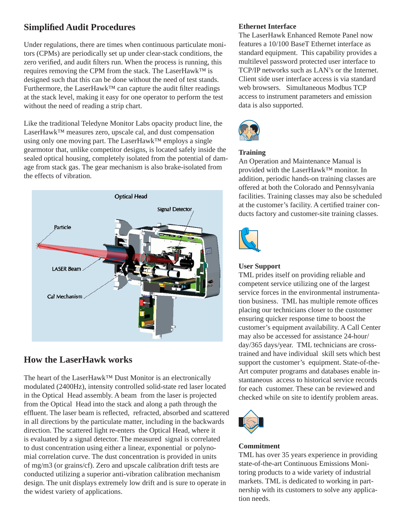#### **Simplified Audit Procedures**

Under regulations, there are times when continuous particulate monitors (CPMs) are periodically set up under clear-stack conditions, the zero verified, and audit filters run. When the process is running, this requires removing the CPM from the stack. The LaserHawk™ is designed such that this can be done without the need of test stands. Furthermore, the LaserHawk<sup>™</sup> can capture the audit filter readings at the stack level, making it easy for one operator to perform the test without the need of reading a strip chart.

Like the traditional Teledyne Monitor Labs opacity product line, the LaserHawk™ measures zero, upscale cal, and dust compensation using only one moving part. The LaserHawk™ employs a single gearmotor that, unlike competitor designs, is located safely inside the sealed optical housing, completely isolated from the potential of damage from stack gas. The gear mechanism is also brake-isolated from the effects of vibration.



#### **How the LaserHawk works**

The heart of the LaserHawk™ Dust Monitor is an electronically modulated (2400Hz), intensity controlled solid-state red laser located in the Optical Head assembly. A beam from the laser is projected from the Optical Head into the stack and along a path through the effluent. The laser beam is reflected, refracted, absorbed and scattered in all directions by the particulate matter, including in the backwards direction. The scattered light re-enters the Optical Head, where it is evaluated by a signal detector. The measured signal is correlated to dust concentration using either a linear, exponential or polynomial correlation curve. The dust concentration is provided in units of mg/m3 (or grains/cf). Zero and upscale calibration drift tests are conducted utilizing a superior anti-vibration calibration mechanism design. The unit displays extremely low drift and is sure to operate in the widest variety of applications.

#### **Ethernet Interface**

The LaserHawk Enhanced Remote Panel now features a 10/100 BaseT Ethernet interface as standard equipment. This capability provides a multilevel password protected user interface to TCP/IP networks such as LAN's or the Internet. Client side user interface access is via standard web browsers. Simultaneous Modbus TCP access to instrument parameters and emission data is also supported.



#### **Training**

An Operation and Maintenance Manual is provided with the LaserHawk™ monitor. In addition, periodic hands-on training classes are offered at both the Colorado and Pennsylvania facilities. Training classes may also be scheduled at the customer's facility. A certified trainer conducts factory and customer-site training classes.



#### **User Support**

TML prides itself on providing reliable and competent service utilizing one of the largest service forces in the environmental instrumentation business. TML has multiple remote offices placing our technicians closer to the customer ensuring quicker response time to boost the customer's equipment availability. A Call Center may also be accessed for assistance 24-hour/ day/365 days/year. TML technicians are crosstrained and have individual skill sets which best support the customer's equipment. State-of-the-Art computer programs and databases enable instantaneous access to historical service records for each customer. These can be reviewed and checked while on site to identify problem areas.



#### **Commitment**

TML has over 35 years experience in providing state-of-the-art Continuous Emissions Monitoring products to a wide variety of industrial markets. TML is dedicated to working in partnership with its customers to solve any application needs.